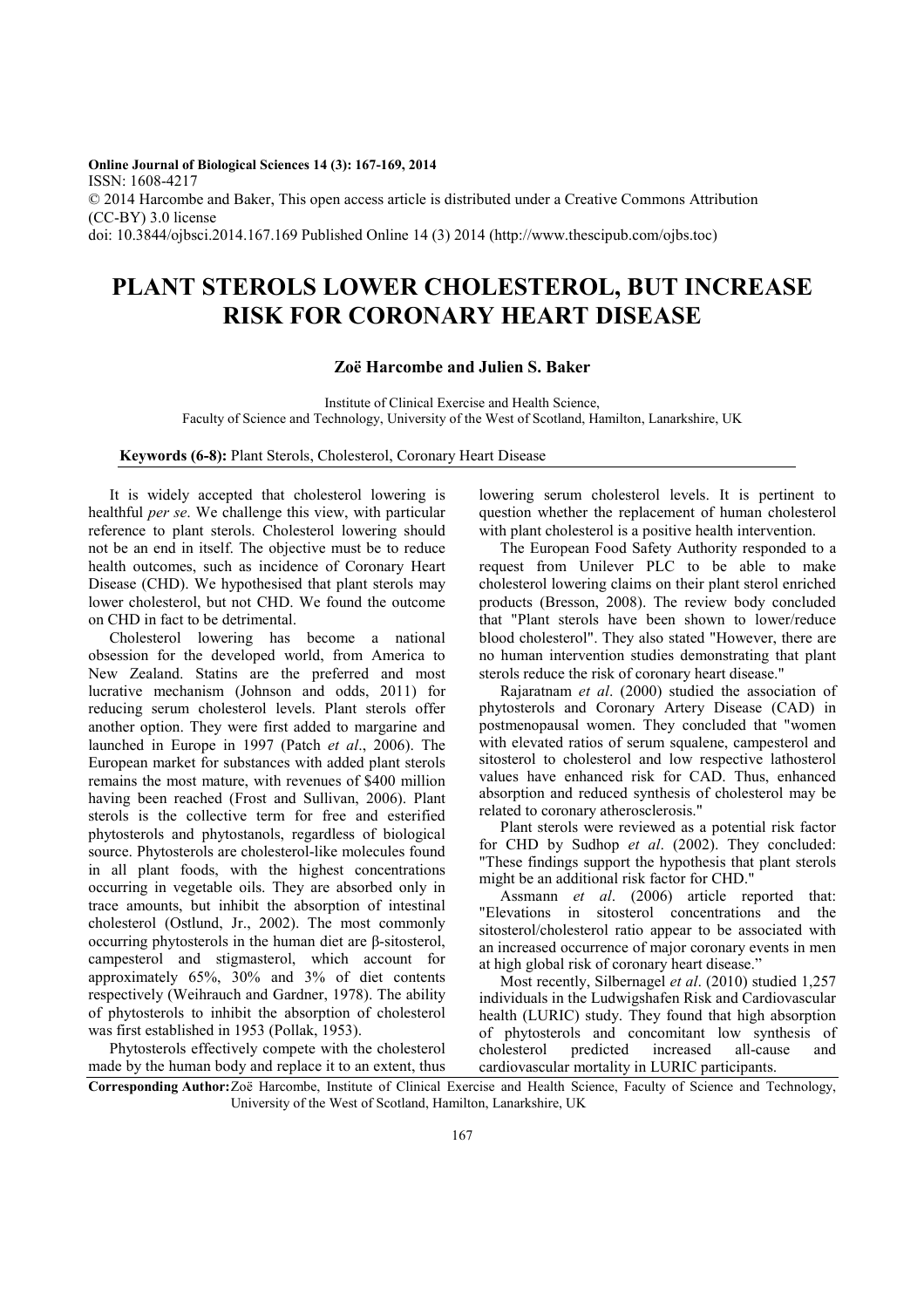**Online Journal of Biological Sciences 14 (3): 167-169, 2014**  ISSN: 1608-4217 © 2014 Harcombe and Baker, This open access article is distributed under a Creative Commons Attribution (CC-BY) 3.0 license doi: 10.3844/ojbsci.2014.167.169 Published Online 14 (3) 2014 (http://www.thescipub.com/ojbs.toc)

## **PLANT STEROLS LOWER CHOLESTEROL, BUT INCREASE RISK FOR CORONARY HEART DISEASE**

## **Zoë Harcombe and Julien S. Baker**

Institute of Clinical Exercise and Health Science, Faculty of Science and Technology, University of the West of Scotland, Hamilton, Lanarkshire, UK

**Keywords (6-8):** Plant Sterols, Cholesterol, Coronary Heart Disease

It is widely accepted that cholesterol lowering is healthful *per se*. We challenge this view, with particular reference to plant sterols. Cholesterol lowering should not be an end in itself. The objective must be to reduce health outcomes, such as incidence of Coronary Heart Disease (CHD). We hypothesised that plant sterols may lower cholesterol, but not CHD. We found the outcome on CHD in fact to be detrimental.

Cholesterol lowering has become a national obsession for the developed world, from America to New Zealand. Statins are the preferred and most lucrative mechanism (Johnson and odds, 2011) for reducing serum cholesterol levels. Plant sterols offer another option. They were first added to margarine and launched in Europe in 1997 (Patch *et al*., 2006). The European market for substances with added plant sterols remains the most mature, with revenues of \$400 million having been reached (Frost and Sullivan, 2006). Plant sterols is the collective term for free and esterified phytosterols and phytostanols, regardless of biological source. Phytosterols are cholesterol-like molecules found in all plant foods, with the highest concentrations occurring in vegetable oils. They are absorbed only in trace amounts, but inhibit the absorption of intestinal cholesterol (Ostlund, Jr., 2002). The most commonly occurring phytosterols in the human diet are β-sitosterol, campesterol and stigmasterol, which account for approximately 65%, 30% and 3% of diet contents respectively (Weihrauch and Gardner, 1978). The ability of phytosterols to inhibit the absorption of cholesterol was first established in 1953 (Pollak, 1953).

Phytosterols effectively compete with the cholesterol made by the human body and replace it to an extent, thus lowering serum cholesterol levels. It is pertinent to question whether the replacement of human cholesterol with plant cholesterol is a positive health intervention.

The European Food Safety Authority responded to a request from Unilever PLC to be able to make cholesterol lowering claims on their plant sterol enriched products (Bresson, 2008). The review body concluded that "Plant sterols have been shown to lower/reduce blood cholesterol". They also stated "However, there are no human intervention studies demonstrating that plant sterols reduce the risk of coronary heart disease."

Rajaratnam *et al*. (2000) studied the association of phytosterols and Coronary Artery Disease (CAD) in postmenopausal women. They concluded that "women with elevated ratios of serum squalene, campesterol and sitosterol to cholesterol and low respective lathosterol values have enhanced risk for CAD. Thus, enhanced absorption and reduced synthesis of cholesterol may be related to coronary atherosclerosis."

Plant sterols were reviewed as a potential risk factor for CHD by Sudhop *et al*. (2002). They concluded: "These findings support the hypothesis that plant sterols might be an additional risk factor for CHD."

Assmann *et al*. (2006) article reported that: "Elevations in sitosterol concentrations and the sitosterol/cholesterol ratio appear to be associated with an increased occurrence of major coronary events in men at high global risk of coronary heart disease."

Most recently, Silbernagel *et al*. (2010) studied 1,257 individuals in the Ludwigshafen Risk and Cardiovascular health (LURIC) study. They found that high absorption of phytosterols and concomitant low synthesis of cholesterol predicted increased all-cause and cardiovascular mortality in LURIC participants.

**Corresponding Author:** Zoë Harcombe, Institute of Clinical Exercise and Health Science, Faculty of Science and Technology, University of the West of Scotland, Hamilton, Lanarkshire, UK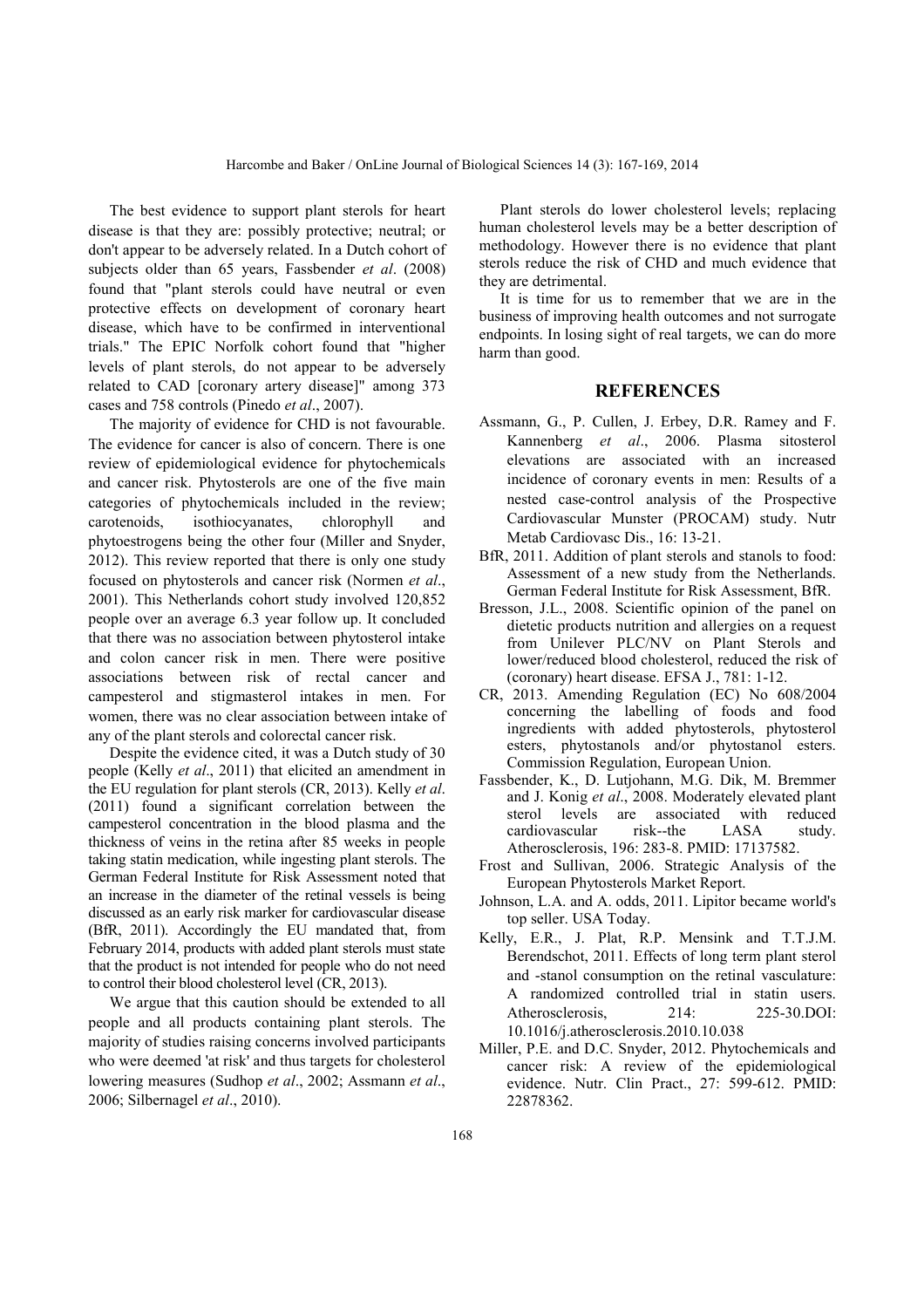The best evidence to support plant sterols for heart disease is that they are: possibly protective; neutral; or don't appear to be adversely related. In a Dutch cohort of subjects older than 65 years, Fassbender *et al*. (2008) found that "plant sterols could have neutral or even protective effects on development of coronary heart disease, which have to be confirmed in interventional trials." The EPIC Norfolk cohort found that "higher levels of plant sterols, do not appear to be adversely related to CAD [coronary artery disease]" among 373 cases and 758 controls (Pinedo *et al*., 2007).

The majority of evidence for CHD is not favourable. The evidence for cancer is also of concern. There is one review of epidemiological evidence for phytochemicals and cancer risk. Phytosterols are one of the five main categories of phytochemicals included in the review; carotenoids, isothiocyanates, chlorophyll and phytoestrogens being the other four (Miller and Snyder, 2012). This review reported that there is only one study focused on phytosterols and cancer risk (Normen *et al*., 2001). This Netherlands cohort study involved 120,852 people over an average 6.3 year follow up. It concluded that there was no association between phytosterol intake and colon cancer risk in men. There were positive associations between risk of rectal cancer and campesterol and stigmasterol intakes in men. For women, there was no clear association between intake of any of the plant sterols and colorectal cancer risk.

Despite the evidence cited, it was a Dutch study of 30 people (Kelly *et al*., 2011) that elicited an amendment in the EU regulation for plant sterols (CR, 2013). Kelly *et al*. (2011) found a significant correlation between the campesterol concentration in the blood plasma and the thickness of veins in the retina after 85 weeks in people taking statin medication, while ingesting plant sterols. The German Federal Institute for Risk Assessment noted that an increase in the diameter of the retinal vessels is being discussed as an early risk marker for cardiovascular disease (BfR, 2011). Accordingly the EU mandated that, from February 2014, products with added plant sterols must state that the product is not intended for people who do not need to control their blood cholesterol level (CR, 2013).

We argue that this caution should be extended to all people and all products containing plant sterols. The majority of studies raising concerns involved participants who were deemed 'at risk' and thus targets for cholesterol lowering measures (Sudhop *et al*., 2002; Assmann *et al*., 2006; Silbernagel *et al*., 2010).

Plant sterols do lower cholesterol levels; replacing human cholesterol levels may be a better description of methodology. However there is no evidence that plant sterols reduce the risk of CHD and much evidence that they are detrimental.

It is time for us to remember that we are in the business of improving health outcomes and not surrogate endpoints. In losing sight of real targets, we can do more harm than good.

## **REFERENCES**

- Assmann, G., P. Cullen, J. Erbey, D.R. Ramey and F. Kannenberg *et al*., 2006. Plasma sitosterol elevations are associated with an increased incidence of coronary events in men: Results of a nested case-control analysis of the Prospective Cardiovascular Munster (PROCAM) study. Nutr Metab Cardiovasc Dis., 16: 13-21.
- BfR, 2011. Addition of plant sterols and stanols to food: Assessment of a new study from the Netherlands. German Federal Institute for Risk Assessment, BfR.
- Bresson, J.L., 2008. Scientific opinion of the panel on dietetic products nutrition and allergies on a request from Unilever PLC/NV on Plant Sterols and lower/reduced blood cholesterol, reduced the risk of (coronary) heart disease. EFSA J., 781: 1-12.
- CR, 2013. Amending Regulation (EC) No 608/2004 concerning the labelling of foods and food ingredients with added phytosterols, phytosterol esters, phytostanols and/or phytostanol esters. Commission Regulation, European Union.
- Fassbender, K., D. Lutjohann, M.G. Dik, M. Bremmer and J. Konig *et al*., 2008. Moderately elevated plant sterol levels are associated with reduced cardiovascular risk--the LASA study. Atherosclerosis, 196: 283-8. PMID: 17137582.
- Frost and Sullivan, 2006. Strategic Analysis of the European Phytosterols Market Report.
- Johnson, L.A. and A. odds, 2011. Lipitor became world's top seller. USA Today.
- Kelly, E.R., J. Plat, R.P. Mensink and T.T.J.M. Berendschot, 2011. Effects of long term plant sterol and -stanol consumption on the retinal vasculature: A randomized controlled trial in statin users. Atherosclerosis, 214: 225-30.DOI: 10.1016/j.atherosclerosis.2010.10.038
- Miller, P.E. and D.C. Snyder, 2012. Phytochemicals and cancer risk: A review of the epidemiological evidence. Nutr. Clin Pract., 27: 599-612. PMID: 22878362.